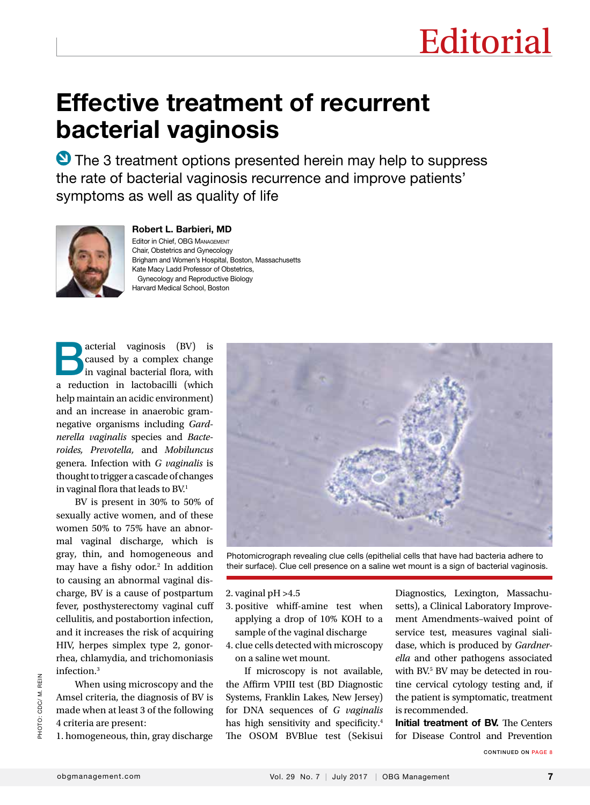# Effective treatment of recurrent bacterial vaginosis

**O** The 3 treatment options presented herein may help to suppress the rate of bacterial vaginosis recurrence and improve patients' symptoms as well as quality of life



#### Robert L. Barbieri, MD

Editor in Chief, OBG Management Chair, Obstetrics and Gynecology Brigham and Women's Hospital, Boston, Massachusetts Kate Macy Ladd Professor of Obstetrics, Gynecology and Reproductive Biology Harvard Medical School, Boston

**Bacterial vaginosis (BV)** is caused by a complex change in vaginal bacterial flora, with caused by a complex change a reduction in lactobacilli (which help maintain an acidic environment) and an increase in anaerobic gramnegative organisms including *Gardnerella vaginalis* species and *Bacteroides, Prevotella,* and *Mobiluncus*  genera. Infection with *G vaginalis* is thought to trigger a cascade of changes in vaginal flora that leads to BV.<sup>1</sup>

BV is present in 30% to 50% of sexually active women, and of these women 50% to 75% have an abnormal vaginal discharge, which is gray, thin, and homogeneous and may have a fishy odor.<sup>2</sup> In addition to causing an abnormal vaginal discharge, BV is a cause of postpartum fever, posthysterectomy vaginal cuff cellulitis, and postabortion infection, and it increases the risk of acquiring HIV, herpes simplex type 2, gonorrhea, chlamydia, and trichomoniasis infection.3

When using microscopy and the Amsel criteria, the diagnosis of BV is made when at least 3 of the following 4 criteria are present:

1. homogeneous, thin, gray discharge



Photomicrograph revealing clue cells (epithelial cells that have had bacteria adhere to their surface). Clue cell presence on a saline wet mount is a sign of bacterial vaginosis.

2. vaginal pH >4.5

- 3. positive whiff-amine test when applying a drop of 10% KOH to a sample of the vaginal discharge
- 4. clue cells detected with microscopy on a saline wet mount.

If microscopy is not available, the Affirm VPIII test (BD Diagnostic Systems, Franklin Lakes, New Jersey) for DNA sequences of *G vaginalis* has high sensitivity and specificity.<sup>4</sup> The OSOM BVBlue test (Sekisui Diagnostics, Lexington, Massachusetts), a Clinical Laboratory Improvement Amendments–waived point of service test, measures vaginal sialidase, which is produced by *Gardnerella* and other pathogens associated with BV.5 BV may be detected in routine cervical cytology testing and, if the patient is symptomatic, treatment is recommended.

Initial treatment of BV. The Centers for Disease Control and Prevention

CONTINUED ON PAGE 8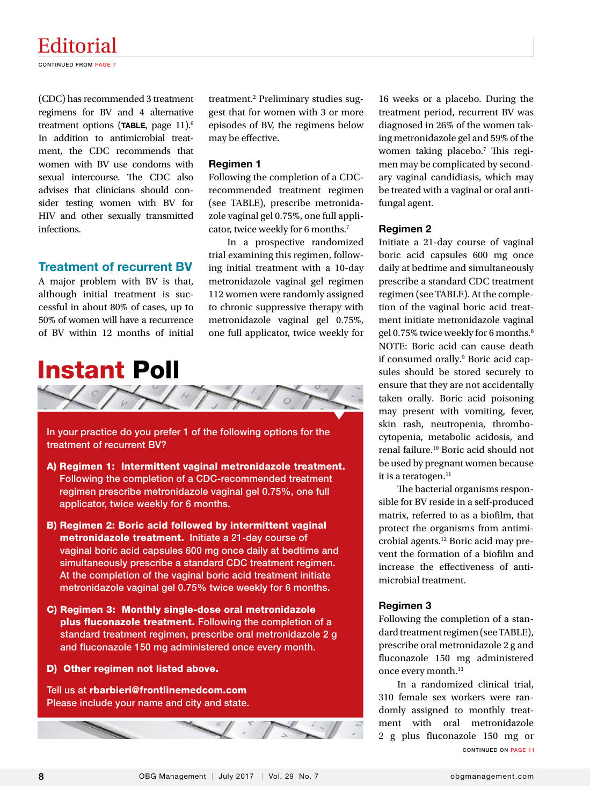## Editorial

CONTINUED FROM PAGE 7

(CDC) has recommended 3 treatment regimens for BV and 4 alternative treatment options (TABLE, page 11).<sup>6</sup> In addition to antimicrobial treatment, the CDC recommends that women with BV use condoms with sexual intercourse. The CDC also advises that clinicians should consider testing women with BV for HIV and other sexually transmitted infections.

#### Treatment of recurrent BV

A major problem with BV is that, although initial treatment is successful in about 80% of cases, up to 50% of women will have a recurrence of BV within 12 months of initial

treatment.2 Preliminary studies suggest that for women with 3 or more episodes of BV, the regimens below may be effective.

#### Regimen 1

Following the completion of a CDCrecommended treatment regimen (see TABLE), prescribe metronidazole vaginal gel 0.75%, one full applicator, twice weekly for 6 months.<sup>7</sup>

In a prospective randomized trial examining this regimen, following initial treatment with a 10-day metronidazole vaginal gel regimen 112 women were randomly assigned to chronic suppressive therapy with metronidazole vaginal gel 0.75%, one full applicator, twice weekly for



In your practice do you prefer 1 of the following options for the treatment of recurrent BV?

- A) Regimen 1: Intermittent vaginal metronidazole treatment. Following the completion of a CDC-recommended treatment regimen prescribe metronidazole vaginal gel 0.75%, one full applicator, twice weekly for 6 months.
- B) Regimen 2: Boric acid followed by intermittent vaginal metronidazole treatment. Initiate a 21-day course of vaginal boric acid capsules 600 mg once daily at bedtime and simultaneously prescribe a standard CDC treatment regimen. At the completion of the vaginal boric acid treatment initiate metronidazole vaginal gel 0.75% twice weekly for 6 months.
- C) Regimen 3: Monthly single-dose oral metronidazole plus fluconazole treatment. Following the completion of a standard treatment regimen, prescribe oral metronidazole 2 g and fluconazole 150 mg administered once every month.

#### D) Other regimen not listed above.

Tell us at rbarbieri@frontlinemedcom.com Please include your name and city and state.



#### Regimen 2

Initiate a 21-day course of vaginal boric acid capsules 600 mg once daily at bedtime and simultaneously prescribe a standard CDC treatment regimen (see TABLE). At the completion of the vaginal boric acid treatment initiate metronidazole vaginal gel 0.75% twice weekly for 6 months.<sup>8</sup> NOTE: Boric acid can cause death if consumed orally.<sup>9</sup> Boric acid capsules should be stored securely to ensure that they are not accidentally taken orally. Boric acid poisoning may present with vomiting, fever, skin rash, neutropenia, thrombocytopenia, metabolic acidosis, and renal failure.10 Boric acid should not be used by pregnant women because it is a teratogen.<sup>11</sup>

The bacterial organisms responsible for BV reside in a self-produced matrix, referred to as a biofilm, that protect the organisms from antimicrobial agents.12 Boric acid may prevent the formation of a biofilm and increase the effectiveness of antimicrobial treatment.

#### Regimen 3

Following the completion of a standard treatment regimen (see TABLE), prescribe oral metronidazole 2 g and fluconazole 150 mg administered once every month.<sup>13</sup>

CONTINUED ON PAGE 11 In a randomized clinical trial, 310 female sex workers were randomly assigned to monthly treatment with oral metronidazole 2 g plus fluconazole 150 mg or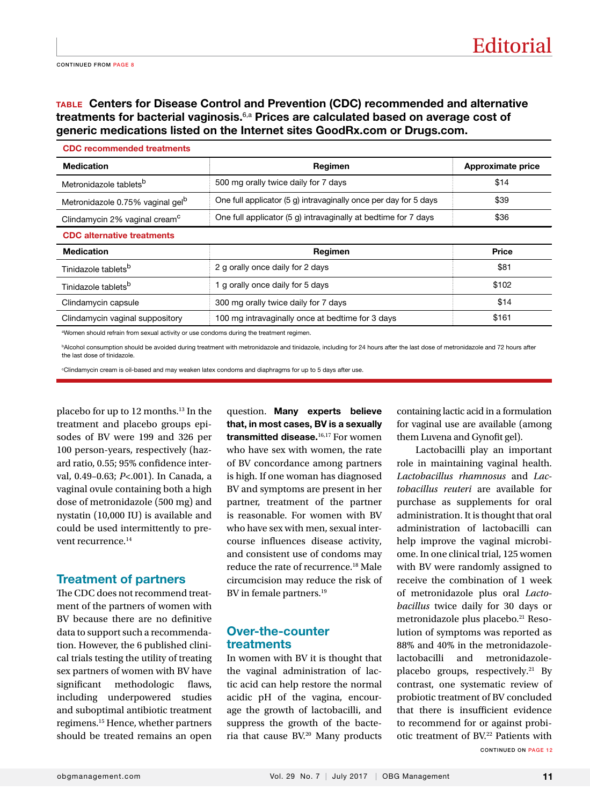### TABLE Centers for Disease Control and Prevention (CDC) recommended and alternative treatments for bacterial vaginosis.<sup>6,a</sup> Prices are calculated based on average cost of generic medications listed on the Internet sites GoodRx.com or Drugs.com.

| <b>Medication</b>                            | Regimen                                                          | Approximate price |
|----------------------------------------------|------------------------------------------------------------------|-------------------|
| Metronidazole tablets <sup>b</sup>           | 500 mg orally twice daily for 7 days                             | \$14              |
| Metronidazole 0.75% vaginal gel <sup>p</sup> | One full applicator (5 g) intravaginally once per day for 5 days | \$39              |
| Clindamycin 2% vaginal cream <sup>c</sup>    | One full applicator (5 g) intravaginally at bedtime for 7 days   | \$36              |
| <b>CDC</b> alternative treatments            |                                                                  |                   |
| <b>Medication</b>                            | Regimen                                                          | <b>Price</b>      |
| Tinidazole tablets <sup>b</sup>              | 2 g orally once daily for 2 days                                 | \$81              |
| Tinidazole tablets <sup>b</sup>              | 1 g orally once daily for 5 days                                 | \$102             |
| Clindamycin capsule                          | 300 mg orally twice daily for 7 days                             | \$14              |
| Clindamycin vaginal suppository              | 100 mg intravaginally once at bedtime for 3 days                 | \$161             |

or use condoms during the treatment reg

bAlcohol consumption should be avoided during treatment with metronidazole and tinidazole, including for 24 hours after the last dose of metronidazole and 72 hours after the last dose of tinidazole.

c Clindamycin cream is oil-based and may weaken latex condoms and diaphragms for up to 5 days after use.

placebo for up to 12 months.13 In the treatment and placebo groups episodes of BV were 199 and 326 per 100 person-years, respectively (hazard ratio, 0.55; 95% confidence interval, 0.49–0.63; *P*<.001). In Canada, a vaginal ovule containing both a high dose of metronidazole (500 mg) and nystatin (10,000 IU) is available and could be used intermittently to prevent recurrence.<sup>14</sup>

#### Treatment of partners

The CDC does not recommend treatment of the partners of women with BV because there are no definitive data to support such a recommendation. However, the 6 published clinical trials testing the utility of treating sex partners of women with BV have significant methodologic flaws, including underpowered studies and suboptimal antibiotic treatment regimens.15 Hence, whether partners should be treated remains an open

question. Many experts believe that, in most cases, BV is a sexually transmitted disease.<sup>16,17</sup> For women who have sex with women, the rate of BV concordance among partners is high. If one woman has diagnosed BV and symptoms are present in her partner, treatment of the partner is reasonable. For women with BV who have sex with men, sexual intercourse influences disease activity, and consistent use of condoms may reduce the rate of recurrence.18 Male circumcision may reduce the risk of BV in female partners.<sup>19</sup>

#### Over-the-counter treatments

In women with BV it is thought that the vaginal administration of lactic acid can help restore the normal acidic pH of the vagina, encourage the growth of lactobacilli, and suppress the growth of the bacteria that cause BV.20 Many products containing lactic acid in a formulation for vaginal use are available (among them Luvena and Gynofit gel).

CONTINUED ON PAGE 12 Lactobacilli play an important role in maintaining vaginal health. *Lactobacillus rhamnosus* and *Lactobacillus reuteri* are available for purchase as supplements for oral administration. It is thought that oral administration of lactobacilli can help improve the vaginal microbiome. In one clinical trial, 125 women with BV were randomly assigned to receive the combination of 1 week of metronidazole plus oral *Lactobacillus* twice daily for 30 days or metronidazole plus placebo.<sup>21</sup> Resolution of symptoms was reported as 88% and 40% in the metronidazolelactobacilli and metronidazoleplacebo groups, respectively.<sup>21</sup> By contrast, one systematic review of probiotic treatment of BV concluded that there is insufficient evidence to recommend for or against probiotic treatment of BV.<sup>22</sup> Patients with